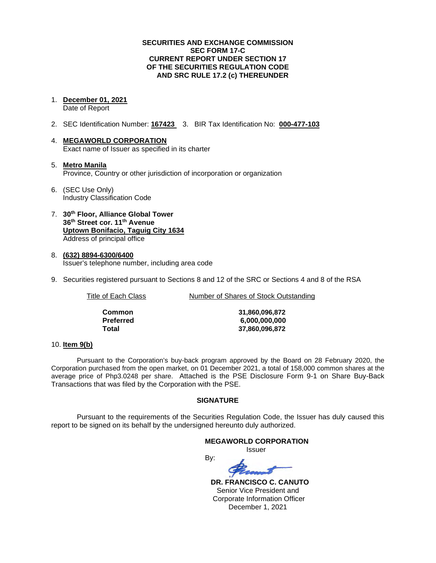### **SECURITIES AND EXCHANGE COMMISSION SEC FORM 17-C CURRENT REPORT UNDER SECTION 17 OF THE SECURITIES REGULATION CODE AND SRC RULE 17.2 (c) THEREUNDER**

1. **December 01, 2021**

Date of Report

- 2. SEC Identification Number: **167423** 3. BIR Tax Identification No: **000-477-103**
- 4. **MEGAWORLD CORPORATION** Exact name of Issuer as specified in its charter
- 5. **Metro Manila** Province, Country or other jurisdiction of incorporation or organization
- 6. (SEC Use Only) Industry Classification Code
- 7. **30th Floor, Alliance Global Tower 36th Street cor. 11th Avenue Uptown Bonifacio, Taguig City 1634** Address of principal office
- 8. **(632) 8894-6300/6400** Issuer's telephone number, including area code
- 9. Securities registered pursuant to Sections 8 and 12 of the SRC or Sections 4 and 8 of the RSA

Title of Each Class Number of Shares of Stock Outstanding

| Common    | 31,860,096,872 |  |  |
|-----------|----------------|--|--|
| Preferred | 6,000,000,000  |  |  |
| Total     | 37.860.096.872 |  |  |

### 10. **Item 9(b)**

Pursuant to the Corporation's buy-back program approved by the Board on 28 February 2020, the Corporation purchased from the open market, on 01 December 2021, a total of 158,000 common shares at the average price of Php3.0248 per share. Attached is the PSE Disclosure Form 9-1 on Share Buy-Back Transactions that was filed by the Corporation with the PSE.

### **SIGNATURE**

Pursuant to the requirements of the Securities Regulation Code, the Issuer has duly caused this report to be signed on its behalf by the undersigned hereunto duly authorized.

# **MEGAWORLD CORPORATION**

*<u>ISSUE CONSTRUCTION CONSTRUCTION CONSTRUCTION CONSTRUCTION CONSTRUCTION CONSTRUCTION CONSTRUCTION CONSTRUCTION CONSTRUCTION CONSTRUCTION CONSTRUCTION CONSTRUCTION CONSTRUCTION CONSTRUCTION CONSTRUCTION CONSTRUCTION CONST*</u>

By:

 **DR. FRANCISCO C. CANUTO** Senior Vice President and Corporate Information Officer December 1, 2021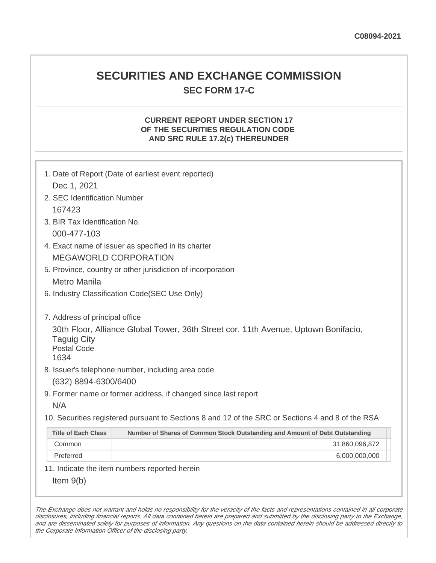## **SECURITIES AND EXCHANGE COMMISSION SEC FORM 17-C**

## **CURRENT REPORT UNDER SECTION 17 OF THE SECURITIES REGULATION CODE AND SRC RULE 17.2(c) THEREUNDER**

| Dec 1, 2021                                                                         | 1. Date of Report (Date of earliest event reported)                                               |  |  |  |
|-------------------------------------------------------------------------------------|---------------------------------------------------------------------------------------------------|--|--|--|
|                                                                                     |                                                                                                   |  |  |  |
| 2. SEC Identification Number<br>167423                                              |                                                                                                   |  |  |  |
| 3. BIR Tax Identification No.                                                       |                                                                                                   |  |  |  |
|                                                                                     |                                                                                                   |  |  |  |
| 000-477-103                                                                         |                                                                                                   |  |  |  |
| 4. Exact name of issuer as specified in its charter<br><b>MEGAWORLD CORPORATION</b> |                                                                                                   |  |  |  |
|                                                                                     |                                                                                                   |  |  |  |
| 5. Province, country or other jurisdiction of incorporation                         |                                                                                                   |  |  |  |
|                                                                                     | <b>Metro Manila</b>                                                                               |  |  |  |
| 6. Industry Classification Code(SEC Use Only)                                       |                                                                                                   |  |  |  |
| 7. Address of principal office<br><b>Taguig City</b><br><b>Postal Code</b><br>1634  | 30th Floor, Alliance Global Tower, 36th Street cor. 11th Avenue, Uptown Bonifacio,                |  |  |  |
|                                                                                     | 8. Issuer's telephone number, including area code                                                 |  |  |  |
| (632) 8894-6300/6400                                                                |                                                                                                   |  |  |  |
|                                                                                     | 9. Former name or former address, if changed since last report                                    |  |  |  |
| N/A                                                                                 |                                                                                                   |  |  |  |
|                                                                                     | 10. Securities registered pursuant to Sections 8 and 12 of the SRC or Sections 4 and 8 of the RSA |  |  |  |
| <b>Title of Each Class</b>                                                          | Number of Shares of Common Stock Outstanding and Amount of Debt Outstanding                       |  |  |  |
| Common                                                                              | 31,860,096,872                                                                                    |  |  |  |
| Preferred                                                                           | 6,000,000,000                                                                                     |  |  |  |
|                                                                                     | 11. Indicate the item numbers reported herein                                                     |  |  |  |
| Item $9(b)$                                                                         |                                                                                                   |  |  |  |

The Exchange does not warrant and holds no responsibility for the veracity of the facts and representations contained in all corporate disclosures, including financial reports. All data contained herein are prepared and submitted by the disclosing party to the Exchange, and are disseminated solely for purposes of information. Any questions on the data contained herein should be addressed directly to the Corporate Information Officer of the disclosing party.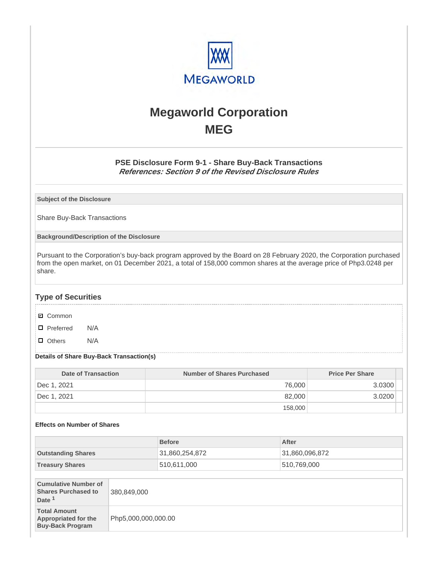

# **Megaworld Corporation MEG**

## **PSE Disclosure Form 9-1 - Share Buy-Back Transactions References: Section 9 of the Revised Disclosure Rules**

**Subject of the Disclosure**

Share Buy-Back Transactions

**Background/Description of the Disclosure**

Pursuant to the Corporation's buy-back program approved by the Board on 28 February 2020, the Corporation purchased from the open market, on 01 December 2021, a total of 158,000 common shares at the average price of Php3.0248 per share.

## **Type of Securities**

- **☑** Common
- □ Preferred N/A
- D Others N/A

#### **Details of Share Buy-Back Transaction(s)**

| Date of Transaction | Number of Shares Purchased | <b>Price Per Share</b> |  |
|---------------------|----------------------------|------------------------|--|
| Dec 1, 2021         | 76,000                     | 3.0300                 |  |
| Dec 1, 2021         | 82,000                     | 3.0200                 |  |
|                     | 158,000                    |                        |  |

#### **Effects on Number of Shares**

|                                                                                |                     | <b>Before</b>  |  | After          |  |
|--------------------------------------------------------------------------------|---------------------|----------------|--|----------------|--|
| <b>Outstanding Shares</b>                                                      |                     | 31,860,254,872 |  | 31,860,096,872 |  |
| <b>Treasury Shares</b>                                                         |                     | 510,611,000    |  | 510,769,000    |  |
|                                                                                |                     |                |  |                |  |
| <b>Cumulative Number of</b><br><b>Shares Purchased to</b><br>Date <sup>1</sup> | 380,849,000         |                |  |                |  |
| <b>Total Amount</b><br>Appropriated for the<br><b>Buy-Back Program</b>         | Php5,000,000,000.00 |                |  |                |  |